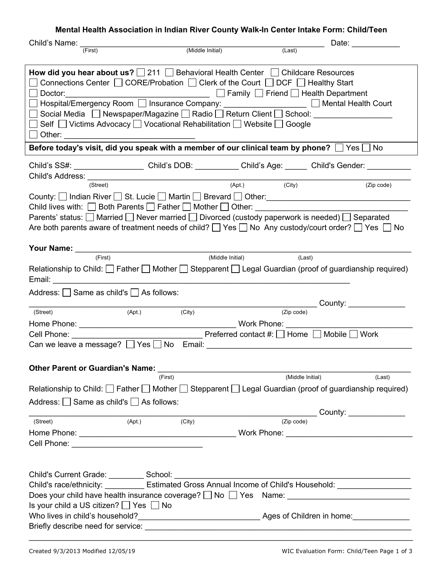## **Mental Health Association in Indian River County Walk-In Center Intake Form: Child/Teen**

| Child's Name:                                                                                                                                                                                                                                                                                                                                                                                                                                                                                                                                      |                  | Date: the contract of the contract of the contract of the contract of the contract of the contract of the contract of the contract of the contract of the contract of the contract of the contract of the contract of the cont |  |  |  |  |  |
|----------------------------------------------------------------------------------------------------------------------------------------------------------------------------------------------------------------------------------------------------------------------------------------------------------------------------------------------------------------------------------------------------------------------------------------------------------------------------------------------------------------------------------------------------|------------------|--------------------------------------------------------------------------------------------------------------------------------------------------------------------------------------------------------------------------------|--|--|--|--|--|
| (First)                                                                                                                                                                                                                                                                                                                                                                                                                                                                                                                                            | (Middle Initial) | (Last)                                                                                                                                                                                                                         |  |  |  |  |  |
|                                                                                                                                                                                                                                                                                                                                                                                                                                                                                                                                                    |                  |                                                                                                                                                                                                                                |  |  |  |  |  |
| How did you hear about us? $\Box$ 211 $\Box$ Behavioral Health Center $\Box$ Childcare Resources<br>Connections Center $\Box$ CORE/Probation $\Box$ Clerk of the Court $\Box$ DCF $\Box$ Healthy Start<br><u>Dealth</u> Department and Department and Department and Department<br>Doctor:<br>Hospital/Emergency Room   Insurance Company: ___________________   Mental Health Court<br>Social Media   Newspaper/Magazine   Radio   Return Client   School: ____________<br>Self   Victims Advocacy   Vocational Rehabilitation   Website   Google |                  |                                                                                                                                                                                                                                |  |  |  |  |  |
|                                                                                                                                                                                                                                                                                                                                                                                                                                                                                                                                                    |                  | Before today's visit, did you speak with a member of our clinical team by phone? $\Box$ Yes $\Box$ No                                                                                                                          |  |  |  |  |  |
|                                                                                                                                                                                                                                                                                                                                                                                                                                                                                                                                                    |                  |                                                                                                                                                                                                                                |  |  |  |  |  |
|                                                                                                                                                                                                                                                                                                                                                                                                                                                                                                                                                    |                  | Child's SS#: ____________________Child's DOB: __________Child's Age: ______ Child's Gender: ___                                                                                                                                |  |  |  |  |  |
| (Street)                                                                                                                                                                                                                                                                                                                                                                                                                                                                                                                                           |                  | (Apt.)<br>(City)<br>(Zip code)                                                                                                                                                                                                 |  |  |  |  |  |
|                                                                                                                                                                                                                                                                                                                                                                                                                                                                                                                                                    |                  |                                                                                                                                                                                                                                |  |  |  |  |  |
|                                                                                                                                                                                                                                                                                                                                                                                                                                                                                                                                                    |                  |                                                                                                                                                                                                                                |  |  |  |  |  |
|                                                                                                                                                                                                                                                                                                                                                                                                                                                                                                                                                    |                  | Child lives with: □ Both Parents □ Father □ Mother □ Other: ____________________                                                                                                                                               |  |  |  |  |  |
|                                                                                                                                                                                                                                                                                                                                                                                                                                                                                                                                                    |                  | Parents' status: □ Married □ Never married □ Divorced (custody paperwork is needed) □ Separated                                                                                                                                |  |  |  |  |  |
|                                                                                                                                                                                                                                                                                                                                                                                                                                                                                                                                                    |                  | Are both parents aware of treatment needs of child? $\Box$ Yes $\Box$ No Any custody/court order? $\Box$ Yes $\Box$ No                                                                                                         |  |  |  |  |  |
|                                                                                                                                                                                                                                                                                                                                                                                                                                                                                                                                                    |                  |                                                                                                                                                                                                                                |  |  |  |  |  |
| (First)                                                                                                                                                                                                                                                                                                                                                                                                                                                                                                                                            | (Middle Initial) |                                                                                                                                                                                                                                |  |  |  |  |  |
|                                                                                                                                                                                                                                                                                                                                                                                                                                                                                                                                                    |                  | (Last)                                                                                                                                                                                                                         |  |  |  |  |  |
|                                                                                                                                                                                                                                                                                                                                                                                                                                                                                                                                                    |                  | Relationship to Child: Father I Mother Stepparent I Legal Guardian (proof of guardianship required)                                                                                                                            |  |  |  |  |  |
| Email: Email: Email: Email: Email: Email: Email: Email: Email: Email: Email: Email: Email: Email: Email: Email: Email: Email: Email: Email: Email: Email: Email: Email: Email: Email: Email: Email: Email: Email: Email: Email                                                                                                                                                                                                                                                                                                                     |                  |                                                                                                                                                                                                                                |  |  |  |  |  |
| Address: Same as child's As follows:                                                                                                                                                                                                                                                                                                                                                                                                                                                                                                               |                  |                                                                                                                                                                                                                                |  |  |  |  |  |
|                                                                                                                                                                                                                                                                                                                                                                                                                                                                                                                                                    |                  | _____________________________________County: ___________________________________                                                                                                                                               |  |  |  |  |  |
| (Apt.)<br>(Street)                                                                                                                                                                                                                                                                                                                                                                                                                                                                                                                                 | (City)           | (Zip code)                                                                                                                                                                                                                     |  |  |  |  |  |
|                                                                                                                                                                                                                                                                                                                                                                                                                                                                                                                                                    |                  |                                                                                                                                                                                                                                |  |  |  |  |  |
|                                                                                                                                                                                                                                                                                                                                                                                                                                                                                                                                                    |                  |                                                                                                                                                                                                                                |  |  |  |  |  |
|                                                                                                                                                                                                                                                                                                                                                                                                                                                                                                                                                    |                  |                                                                                                                                                                                                                                |  |  |  |  |  |
|                                                                                                                                                                                                                                                                                                                                                                                                                                                                                                                                                    |                  |                                                                                                                                                                                                                                |  |  |  |  |  |
| Other Parent or Guardian's Name: Name: Name and Allen March 2014                                                                                                                                                                                                                                                                                                                                                                                                                                                                                   |                  |                                                                                                                                                                                                                                |  |  |  |  |  |
|                                                                                                                                                                                                                                                                                                                                                                                                                                                                                                                                                    | (First)          | (Middle Initial)<br>(Last)                                                                                                                                                                                                     |  |  |  |  |  |
|                                                                                                                                                                                                                                                                                                                                                                                                                                                                                                                                                    |                  | Relationship to Child: $\Box$ Father $\Box$ Mother $\Box$ Stepparent $\Box$ Legal Guardian (proof of guardianship required)                                                                                                    |  |  |  |  |  |
| Address: $\Box$ Same as child's $\Box$ As follows:                                                                                                                                                                                                                                                                                                                                                                                                                                                                                                 |                  |                                                                                                                                                                                                                                |  |  |  |  |  |
|                                                                                                                                                                                                                                                                                                                                                                                                                                                                                                                                                    |                  |                                                                                                                                                                                                                                |  |  |  |  |  |
| (Apt.)<br>(Street)                                                                                                                                                                                                                                                                                                                                                                                                                                                                                                                                 | (City)           | $\overline{(Zip code)}$                                                                                                                                                                                                        |  |  |  |  |  |
|                                                                                                                                                                                                                                                                                                                                                                                                                                                                                                                                                    |                  |                                                                                                                                                                                                                                |  |  |  |  |  |
|                                                                                                                                                                                                                                                                                                                                                                                                                                                                                                                                                    |                  |                                                                                                                                                                                                                                |  |  |  |  |  |
|                                                                                                                                                                                                                                                                                                                                                                                                                                                                                                                                                    |                  |                                                                                                                                                                                                                                |  |  |  |  |  |
|                                                                                                                                                                                                                                                                                                                                                                                                                                                                                                                                                    |                  |                                                                                                                                                                                                                                |  |  |  |  |  |
|                                                                                                                                                                                                                                                                                                                                                                                                                                                                                                                                                    |                  |                                                                                                                                                                                                                                |  |  |  |  |  |
| Child's Current Grade: ___________ School: ________                                                                                                                                                                                                                                                                                                                                                                                                                                                                                                |                  |                                                                                                                                                                                                                                |  |  |  |  |  |
| Child's race/ethnicity: ___________ Estimated Gross Annual Income of Child's Household: __________________                                                                                                                                                                                                                                                                                                                                                                                                                                         |                  |                                                                                                                                                                                                                                |  |  |  |  |  |
| Does your child have health insurance coverage? [ No [ Yes Name: ___________________________________                                                                                                                                                                                                                                                                                                                                                                                                                                               |                  |                                                                                                                                                                                                                                |  |  |  |  |  |
| Is your child a US citizen? □ Yes □ No                                                                                                                                                                                                                                                                                                                                                                                                                                                                                                             |                  |                                                                                                                                                                                                                                |  |  |  |  |  |
|                                                                                                                                                                                                                                                                                                                                                                                                                                                                                                                                                    |                  |                                                                                                                                                                                                                                |  |  |  |  |  |
|                                                                                                                                                                                                                                                                                                                                                                                                                                                                                                                                                    |                  |                                                                                                                                                                                                                                |  |  |  |  |  |
|                                                                                                                                                                                                                                                                                                                                                                                                                                                                                                                                                    |                  |                                                                                                                                                                                                                                |  |  |  |  |  |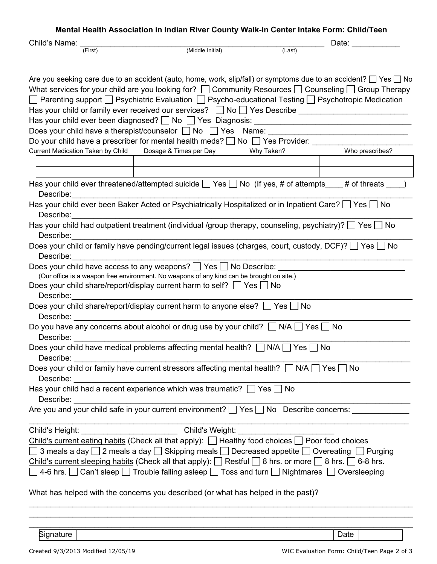|                                                                                                                                                                                                                                                                                                                                                                                                                                                                                     | Mental Health Association in Indian River County Walk-In Center Intake Form: Child/Teen   |        |       |  |  |
|-------------------------------------------------------------------------------------------------------------------------------------------------------------------------------------------------------------------------------------------------------------------------------------------------------------------------------------------------------------------------------------------------------------------------------------------------------------------------------------|-------------------------------------------------------------------------------------------|--------|-------|--|--|
| Child's Name:                                                                                                                                                                                                                                                                                                                                                                                                                                                                       |                                                                                           |        | Date: |  |  |
| (First)                                                                                                                                                                                                                                                                                                                                                                                                                                                                             | (Middle Initial)                                                                          | (Last) |       |  |  |
| Are you seeking care due to an accident (auto, home, work, slip/fall) or symptoms due to an accident? $\Box$ Yes $\Box$ No<br>What services for your child are you looking for? $\Box$ Community Resources $\Box$ Counseling $\Box$ Group Therapy<br>$\Box$ Parenting support $\Box$ Psychiatric Evaluation $\Box$ Psycho-educational Testing $\Box$ Psychotropic Medication<br>Do your child have a prescriber for mental health meds? □ No □ Yes Provider: ______________________ |                                                                                           |        |       |  |  |
| Current Medication Taken by Child Dosage & Times per Day Why Taken? Monescribes?                                                                                                                                                                                                                                                                                                                                                                                                    |                                                                                           |        |       |  |  |
|                                                                                                                                                                                                                                                                                                                                                                                                                                                                                     |                                                                                           |        |       |  |  |
| Has your child ever threatened/attempted suicide $\Box$ Yes $\Box$ No (If yes, # of attempts $\Box$ # of threats $\Box$ )<br>Describe:                                                                                                                                                                                                                                                                                                                                              |                                                                                           |        |       |  |  |
| Has your child ever been Baker Acted or Psychiatrically Hospitalized or in Inpatient Care? $\Box$ Yes $\Box$ No<br>Describe:                                                                                                                                                                                                                                                                                                                                                        |                                                                                           |        |       |  |  |
| Has your child had outpatient treatment (individual /group therapy, counseling, psychiatry)? $\Box$ Yes $\Box$ No<br>Describe:                                                                                                                                                                                                                                                                                                                                                      |                                                                                           |        |       |  |  |
| Does your child or family have pending/current legal issues (charges, court, custody, DCF)? [ Yes   No<br>Describe:                                                                                                                                                                                                                                                                                                                                                                 | <u> 1980 - Johann Barbara, martxa alemaniar a</u>                                         |        |       |  |  |
| Does your child have access to any weapons? □ Yes □ No Describe:                                                                                                                                                                                                                                                                                                                                                                                                                    | (Our office is a weapon free environment. No weapons of any kind can be brought on site.) |        |       |  |  |
| Does your child share/report/display current harm to self? $\Box$ Yes $\Box$ No<br>Describe:                                                                                                                                                                                                                                                                                                                                                                                        |                                                                                           |        |       |  |  |
| Does your child share/report/display current harm to anyone else? $\Box$ Yes $\Box$ No<br>Describe: <u>______________________</u>                                                                                                                                                                                                                                                                                                                                                   |                                                                                           |        |       |  |  |
| Do you have any concerns about alcohol or drug use by your child? $\Box$ N/A $\Box$ Yes [<br>⊟ No<br>Describe: the contract of the contract of the contract of the contract of the contract of the contract of the contract of the contract of the contract of the contract of the contract of the contract of the contract of the                                                                                                                                                  |                                                                                           |        |       |  |  |
| Does your child have medical problems affecting mental health? □ N/A □ Yes □ No<br>Describe:                                                                                                                                                                                                                                                                                                                                                                                        |                                                                                           |        |       |  |  |
| Does your child or family have current stressors affecting mental health? □ N/A □ Yes □ No                                                                                                                                                                                                                                                                                                                                                                                          |                                                                                           |        |       |  |  |
| Has your child had a recent experience which was traumatic? $\Box$ Yes $\Box$ No<br>Describe:                                                                                                                                                                                                                                                                                                                                                                                       |                                                                                           |        |       |  |  |
| Are you and your child safe in your current environment? D Yes D No Describe concerns: ____________                                                                                                                                                                                                                                                                                                                                                                                 |                                                                                           |        |       |  |  |
| Child's Height: ________________________________Child's Weight: _________________                                                                                                                                                                                                                                                                                                                                                                                                   |                                                                                           |        |       |  |  |
| Child's current eating habits (Check all that apply): $\Box$ Healthy food choices $\Box$ Poor food choices<br>□ 3 meals a day □ 2 meals a day □ Skipping meals □ Decreased appetite □ Overeating □ Purging<br>Child's current sleeping habits (Check all that apply): $\Box$ Restful $\Box$ 8 hrs. or more $\Box$ 8 hrs. $\Box$ 6-8 hrs.<br>$\Box$ 4-6 hrs. $\Box$ Can't sleep $\Box$ Trouble falling asleep $\Box$ Toss and turn $\Box$ Nightmares $\Box$ Oversleeping             |                                                                                           |        |       |  |  |
| What has helped with the concerns you described (or what has helped in the past)?                                                                                                                                                                                                                                                                                                                                                                                                   |                                                                                           |        |       |  |  |
|                                                                                                                                                                                                                                                                                                                                                                                                                                                                                     |                                                                                           |        |       |  |  |

\_\_\_\_\_\_\_\_\_\_\_\_\_\_\_\_\_\_\_\_\_\_\_\_\_\_\_\_\_\_\_\_\_\_\_\_\_\_\_\_\_\_\_\_\_\_\_\_\_\_\_\_\_\_\_\_\_\_\_\_\_\_\_\_\_\_\_\_\_\_\_\_\_\_\_\_\_\_\_\_\_\_\_\_\_\_\_\_

Signature | Date | Date | Date | Date | Date | Date | Date | Date | Date | Date | Date | Date | Date | Date | Date | Date | Date | Date | Date | Date | Date | Date | Date | Date | Date | Date | Date | Date | Date | Date |